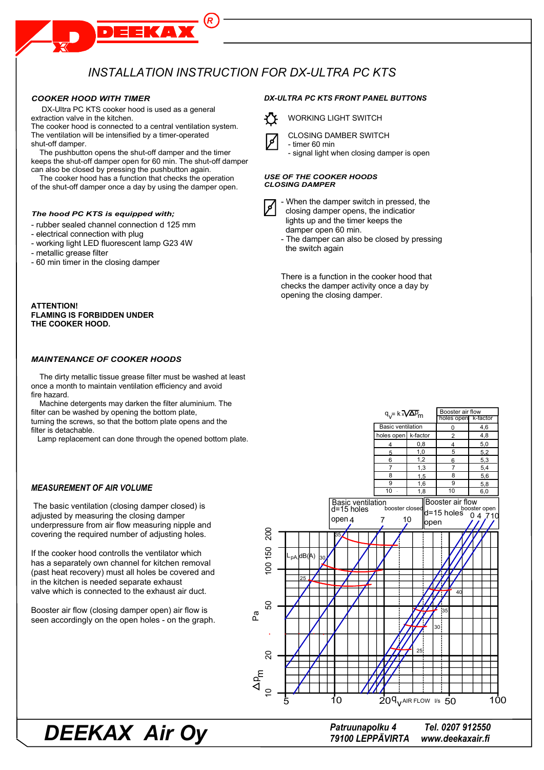# INSTALLATION INSTRUCTION FOR DX-ULTRA PC KTS

#### **COOKER HOOD WITH TIMER**

DX-Ultra PC KTS cooker hood is used as a general extraction valve in the kitchen.

The cooker hood is connected to a central ventilation system. The ventilation will be intensified by a timer-operated shut-off damper.

The pushbutton opens the shut-off damper and the timer keeps the shut-off damper open for 60 min. The shut-off damper can also be closed by pressing the pushbutton again.

The cooker hood has a function that checks the operation of the shut-off damper once a day by using the damper open.

#### The hood PC KTS is equipped with:

- rubber sealed channel connection d 125 mm
- electrical connection with plug
- working light LED fluorescent lamp G23 4W
- metallic grease filter
- 60 min timer in the closing damper

#### **ATTENTION! FLAMING IS FORBIDDEN UNDER** THE COOKER HOOD.

#### **MAINTENANCE OF COOKER HOODS**

The dirty metallic tissue grease filter must be washed at least once a month to maintain ventilation efficiency and avoid fire hazard.

Machine detergents may darken the filter aluminium. The filter can be washed by opening the bottom plate, turning the screws, so that the bottom plate opens and the filter is detachable.

Lamp replacement can done through the opened bottom plate.

### **MEASUREMENT OF AIR VOLUME**

The basic ventilation (closing damper closed) is adjusted by measuring the closing damper underpressure from air flow measuring nipple and covering the required number of adjusting holes.

If the cooker hood controlls the ventilator which has a separately own channel for kitchen removal (past heat recovery) must all holes be covered and in the kitchen is needed separate exhaust valve which is connected to the exhaust air duct.

Booster air flow (closing damper open) air flow is seen accordingly on the open holes - on the graph.

#### Booster air flow<br>holes open K-factor  $q_v = k \sqrt{\Delta p}$ **Basic ventilation**  $\mathbf 0$  $46$ 4.8 k-fact  $0.8$  $5,0$  $\overline{4}$  $1.0$  $\overline{5}$  $5<sup>2</sup>$  $\overline{1,2}$ 6  $5.3$  $1.3$  $\overline{7}$  $5,4$ 8 8  $5.6$  $15$  $16$ 58  $\overline{10}$  $\overline{10}$  $1.8$  $60$ Basic ventilation Booster air flow booster open<br>Alternation of the poster of the post of the design of the design of the design of the top of the top the the<br>Alternation of the design of the top of the top of the top of the top of the top of the top of the n<br>booster close d=15 holes open<sub>4</sub>  $10$  $\overline{7}$ open g 50 ΙB, 8 င္ဟ പ്പ 30  $\overline{2}$  $\Omega$  $\Delta P_{\rm m}$  $209<sub>v</sub>$ AIR FLOW  $\sqrt{50}$ 100 1C

**DEEKAX Air Oy** 

**DX-ULTRA PC KTS FRONT PANEL BUTTONS** 



**CLOSING DAMBER SWITCH** 



- timer 60 min

- signal light when closing damper is open

**USE OF THE COOKER HOODS CLOSING DAMPER** 



- When the damper switch in pressed, the closing damper opens, the indicatior lights up and the timer keeps the damper open 60 min.

- The damper can also be closed by pressing the switch again

There is a function in the cooker hood that checks the damper activity once a day by opening the closing damper.

> Patruunapolku 4 79100 LEPPÄVIRTA

Tel. 0207 912550 www.deekaxair.fi